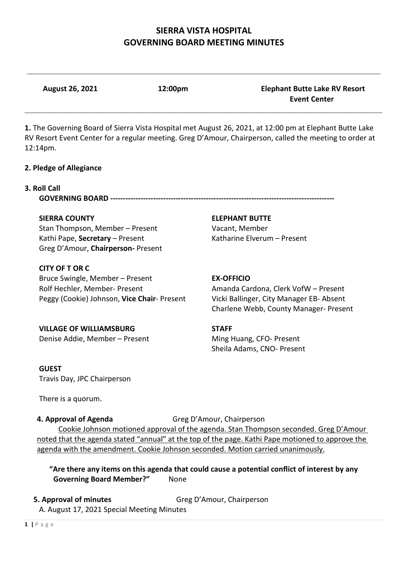$\mathcal{L}_\mathcal{L} = \{ \mathcal{L}_\mathcal{L} = \{ \mathcal{L}_\mathcal{L} = \{ \mathcal{L}_\mathcal{L} = \{ \mathcal{L}_\mathcal{L} = \{ \mathcal{L}_\mathcal{L} = \{ \mathcal{L}_\mathcal{L} = \{ \mathcal{L}_\mathcal{L} = \{ \mathcal{L}_\mathcal{L} = \{ \mathcal{L}_\mathcal{L} = \{ \mathcal{L}_\mathcal{L} = \{ \mathcal{L}_\mathcal{L} = \{ \mathcal{L}_\mathcal{L} = \{ \mathcal{L}_\mathcal{L} = \{ \mathcal{L}_\mathcal{$ 

**August 26, 2021 12:00pm Elephant Butte Lake RV Resort** 

 **Event Center** \_\_\_\_\_\_\_\_\_\_\_\_\_\_\_\_\_\_\_\_\_\_\_\_\_\_\_\_\_\_\_\_\_\_\_\_\_\_\_\_\_\_\_\_\_\_\_\_\_\_\_\_\_\_\_\_\_\_\_\_\_\_\_\_\_\_\_\_\_\_\_\_\_\_\_\_\_\_\_\_\_\_\_\_\_\_\_ **1.** The Governing Board of Sierra Vista Hospital met August 26, 2021, at 12:00 pm at Elephant Butte Lake RV Resort Event Center for a regular meeting. Greg D'Amour, Chairperson, called the meeting to order at 12:14pm. **2. Pledge of Allegiance 3. Roll Call GOVERNING BOARD ----------------------------------------------------------------------------------------- SIERRA COUNTY ELEPHANT BUTTE** Stan Thompson, Member – Present Vacant, Member Kathi Pape, **Secretary** – Present Katharine Elverum – Present Greg D'Amour, **Chairperson-** Present **CITY OF T OR C** Bruce Swingle, Member – Present **EX-OFFICIO** Rolf Hechler, Member- Present Amanda Cardona, Clerk VofW – Present Peggy (Cookie) Johnson, **Vice Chair**- Present Vicki Ballinger, City Manager EB- Absent Charlene Webb, County Manager- Present **VILLAGE OF WILLIAMSBURG STAFF** Denise Addie, Member – Present Ming Huang, CFO- Present Sheila Adams, CNO- Present **GUEST** Travis Day, JPC Chairperson There is a quorum. **4. Approval of Agenda** Greg D'Amour, Chairperson Cookie Johnson motioned approval of the agenda. Stan Thompson seconded. Greg D'Amour noted that the agenda stated "annual" at the top of the page. Kathi Pape motioned to approve the agenda with the amendment. Cookie Johnson seconded. Motion carried unanimously. **"Are there any items on this agenda that could cause a potential conflict of interest by any Governing Board Member?"** None

#### **5. Approval of minutes Greg D'Amour, Chairperson**

A. August 17, 2021 Special Meeting Minutes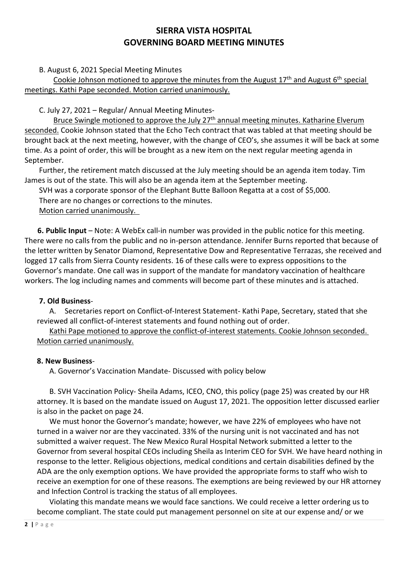## B. August 6, 2021 Special Meeting Minutes

Cookie Johnson motioned to approve the minutes from the August  $17<sup>th</sup>$  and August  $6<sup>th</sup>$  special meetings. Kathi Pape seconded. Motion carried unanimously.

C. July 27, 2021 – Regular/ Annual Meeting Minutes-

Bruce Swingle motioned to approve the July 27<sup>th</sup> annual meeting minutes. Katharine Elverum seconded. Cookie Johnson stated that the Echo Tech contract that was tabled at that meeting should be brought back at the next meeting, however, with the change of CEO's, she assumes it will be back at some time. As a point of order, this will be brought as a new item on the next regular meeting agenda in September.

Further, the retirement match discussed at the July meeting should be an agenda item today. Tim James is out of the state. This will also be an agenda item at the September meeting.

SVH was a corporate sponsor of the Elephant Butte Balloon Regatta at a cost of \$5,000.

There are no changes or corrections to the minutes.

## Motion carried unanimously.

 **6. Public Input** – Note: A WebEx call-in number was provided in the public notice for this meeting. There were no calls from the public and no in-person attendance. Jennifer Burns reported that because of the letter written by Senator Diamond, Representative Dow and Representative Terrazas, she received and logged 17 calls from Sierra County residents. 16 of these calls were to express oppositions to the Governor's mandate. One call was in support of the mandate for mandatory vaccination of healthcare workers. The log including names and comments will become part of these minutes and is attached.

## **7. Old Business**-

A. Secretaries report on Conflict-of-Interest Statement- Kathi Pape, Secretary, stated that she reviewed all conflict-of-interest statements and found nothing out of order.

Kathi Pape motioned to approve the conflict-of-interest statements. Cookie Johnson seconded. Motion carried unanimously.

#### **8. New Business**-

A. Governor's Vaccination Mandate- Discussed with policy below

B. SVH Vaccination Policy- Sheila Adams, ICEO, CNO, this policy (page 25) was created by our HR attorney. It is based on the mandate issued on August 17, 2021. The opposition letter discussed earlier is also in the packet on page 24.

We must honor the Governor's mandate; however, we have 22% of employees who have not turned in a waiver nor are they vaccinated. 33% of the nursing unit is not vaccinated and has not submitted a waiver request. The New Mexico Rural Hospital Network submitted a letter to the Governor from several hospital CEOs including Sheila as Interim CEO for SVH. We have heard nothing in response to the letter. Religious objections, medical conditions and certain disabilities defined by the ADA are the only exemption options. We have provided the appropriate forms to staff who wish to receive an exemption for one of these reasons. The exemptions are being reviewed by our HR attorney and Infection Control is tracking the status of all employees.

Violating this mandate means we would face sanctions. We could receive a letter ordering us to become compliant. The state could put management personnel on site at our expense and/ or we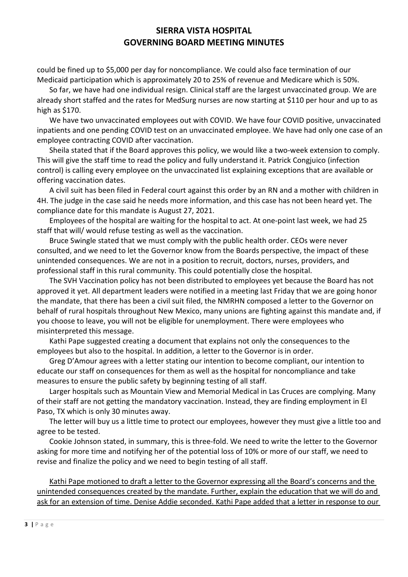could be fined up to \$5,000 per day for noncompliance. We could also face termination of our Medicaid participation which is approximately 20 to 25% of revenue and Medicare which is 50%.

So far, we have had one individual resign. Clinical staff are the largest unvaccinated group. We are already short staffed and the rates for MedSurg nurses are now starting at \$110 per hour and up to as high as \$170.

We have two unvaccinated employees out with COVID. We have four COVID positive, unvaccinated inpatients and one pending COVID test on an unvaccinated employee. We have had only one case of an employee contracting COVID after vaccination.

Sheila stated that if the Board approves this policy, we would like a two-week extension to comply. This will give the staff time to read the policy and fully understand it. Patrick Congjuico (infection control) is calling every employee on the unvaccinated list explaining exceptions that are available or offering vaccination dates.

A civil suit has been filed in Federal court against this order by an RN and a mother with children in 4H. The judge in the case said he needs more information, and this case has not been heard yet. The compliance date for this mandate is August 27, 2021.

Employees of the hospital are waiting for the hospital to act. At one-point last week, we had 25 staff that will/ would refuse testing as well as the vaccination.

Bruce Swingle stated that we must comply with the public health order. CEOs were never consulted, and we need to let the Governor know from the Boards perspective, the impact of these unintended consequences. We are not in a position to recruit, doctors, nurses, providers, and professional staff in this rural community. This could potentially close the hospital.

The SVH Vaccination policy has not been distributed to employees yet because the Board has not approved it yet. All department leaders were notified in a meeting last Friday that we are going honor the mandate, that there has been a civil suit filed, the NMRHN composed a letter to the Governor on behalf of rural hospitals throughout New Mexico, many unions are fighting against this mandate and, if you choose to leave, you will not be eligible for unemployment. There were employees who misinterpreted this message.

Kathi Pape suggested creating a document that explains not only the consequences to the employees but also to the hospital. In addition, a letter to the Governor is in order.

Greg D'Amour agrees with a letter stating our intention to become compliant, our intention to educate our staff on consequences for them as well as the hospital for noncompliance and take measures to ensure the public safety by beginning testing of all staff.

Larger hospitals such as Mountain View and Memorial Medical in Las Cruces are complying. Many of their staff are not getting the mandatory vaccination. Instead, they are finding employment in El Paso, TX which is only 30 minutes away.

The letter will buy us a little time to protect our employees, however they must give a little too and agree to be tested.

Cookie Johnson stated, in summary, this is three-fold. We need to write the letter to the Governor asking for more time and notifying her of the potential loss of 10% or more of our staff, we need to revise and finalize the policy and we need to begin testing of all staff.

Kathi Pape motioned to draft a letter to the Governor expressing all the Board's concerns and the unintended consequences created by the mandate. Further, explain the education that we will do and ask for an extension of time. Denise Addie seconded. Kathi Pape added that a letter in response to our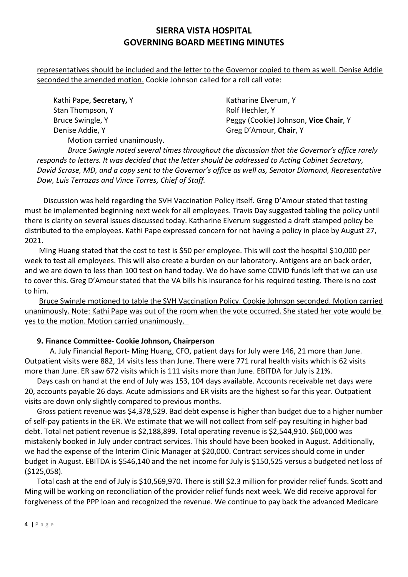representatives should be included and the letter to the Governor copied to them as well. Denise Addie seconded the amended motion. Cookie Johnson called for a roll call vote:

Kathi Pape, **Secretary**, Y Katharine Elverum, Y Stan Thompson, Y **Rolf Hechler, Y** Rolf Hechler, Y Denise Addie, Y Greg D'Amour, Chair, Y Motion carried unanimously.

Bruce Swingle, Y Peggy (Cookie) Johnson, **Vice Chair**, Y

*Bruce Swingle noted several times throughout the discussion that the Governor's office rarely responds to letters. It was decided that the letter should be addressed to Acting Cabinet Secretary, David Scrase, MD, and a copy sent to the Governor's office as well as, Senator Diamond, Representative Dow, Luis Terrazas and Vince Torres, Chief of Staff.*

Discussion was held regarding the SVH Vaccination Policy itself. Greg D'Amour stated that testing must be implemented beginning next week for all employees. Travis Day suggested tabling the policy until there is clarity on several issues discussed today. Katharine Elverum suggested a draft stamped policy be distributed to the employees. Kathi Pape expressed concern for not having a policy in place by August 27, 2021.

Ming Huang stated that the cost to test is \$50 per employee. This will cost the hospital \$10,000 per week to test all employees. This will also create a burden on our laboratory. Antigens are on back order, and we are down to less than 100 test on hand today. We do have some COVID funds left that we can use to cover this. Greg D'Amour stated that the VA bills his insurance for his required testing. There is no cost to him.

Bruce Swingle motioned to table the SVH Vaccination Policy. Cookie Johnson seconded. Motion carried unanimously. Note: Kathi Pape was out of the room when the vote occurred. She stated her vote would be yes to the motion. Motion carried unanimously.

# **9. Finance Committee- Cookie Johnson, Chairperson**

 A. July Financial Report- Ming Huang, CFO, patient days for July were 146, 21 more than June. Outpatient visits were 882, 14 visits less than June. There were 771 rural health visits which is 62 visits more than June. ER saw 672 visits which is 111 visits more than June. EBITDA for July is 21%.

Days cash on hand at the end of July was 153, 104 days available. Accounts receivable net days were 20, accounts payable 26 days. Acute admissions and ER visits are the highest so far this year. Outpatient visits are down only slightly compared to previous months.

Gross patient revenue was \$4,378,529. Bad debt expense is higher than budget due to a higher number of self-pay patients in the ER. We estimate that we will not collect from self-pay resulting in higher bad debt. Total net patient revenue is \$2,188,899. Total operating revenue is \$2,544,910. \$60,000 was mistakenly booked in July under contract services. This should have been booked in August. Additionally, we had the expense of the Interim Clinic Manager at \$20,000. Contract services should come in under budget in August. EBITDA is \$546,140 and the net income for July is \$150,525 versus a budgeted net loss of (\$125,058).

Total cash at the end of July is \$10,569,970. There is still \$2.3 million for provider relief funds. Scott and Ming will be working on reconciliation of the provider relief funds next week. We did receive approval for forgiveness of the PPP loan and recognized the revenue. We continue to pay back the advanced Medicare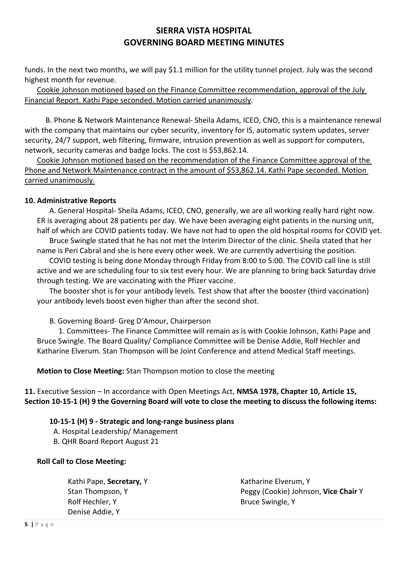funds. In the next two months, we will pay \$1.1 million for the utility tunnel project. July was the second highest month for revenue.

Cookie Johnson motioned based on the Finance Committee recommendation, approval of the July Financial Report. Kathi Pape seconded. Motion carried unanimously.

 B. Phone & Network Maintenance Renewal- Sheila Adams, ICEO, CNO, this is a maintenance renewal with the company that maintains our cyber security, inventory for IS, automatic system updates, server security, 24/7 support, web filtering, firmware, intrusion prevention as well as support for computers, network, security cameras and badge locks. The cost is \$53,862.14.

Cookie Johnson motioned based on the recommendation of the Finance Committee approval of the Phone and Network Maintenance contract in the amount of \$53,862.14. Kathi Pape seconded. Motion carried unanimously.

## **10. Administrative Reports**

A. General Hospital- Sheila Adams, ICEO, CNO, generally, we are all working really hard right now. ER is averaging about 28 patients per day. We have been averaging eight patients in the nursing unit, half of which are COVID patients today. We have not had to open the old hospital rooms for COVID yet. Bruce Swingle stated that he has not met the Interim Director of the clinic. Sheila stated that her name is Peri Cabral and she is here every other week. We are currently advertising the position. COVID testing is being done Monday through Friday from 8:00 to 5:00. The COVID call line is still active and we are scheduling four to six test every hour. We are planning to bring back Saturday drive

through testing. We are vaccinating with the Pfizer vaccine. The booster shot is for your antibody levels. Test show that after the booster (third vaccination)

B. Governing Board- Greg D'Amour, Chairperson

your antibody levels boost even higher than after the second shot.

1. Committees- The Finance Committee will remain as is with Cookie Johnson, Kathi Pape and Bruce Swingle. The Board Quality/ Compliance Committee will be Denise Addie, Rolf Hechler and Katharine Elverum. Stan Thompson will be Joint Conference and attend Medical Staff meetings.

**Motion to Close Meeting:** Stan Thompson motion to close the meeting

**11.** Executive Session – In accordance with Open Meetings Act, **NMSA 1978, Chapter 10, Article 15, Section 10-15-1 (H) 9 the Governing Board will vote to close the meeting to discuss the following items:**

## **10-15-1 (H) 9 - Strategic and long-range business plans**

A. Hospital Leadership/ Management

B. QHR Board Report August 21

## **Roll Call to Close Meeting:**

| Kathi Pape, Secretary, Y | Katharine Elverum, Y                 |
|--------------------------|--------------------------------------|
| Stan Thompson, Y         | Peggy (Cookie) Johnson, Vice Chair Y |
| Rolf Hechler, Y          | Bruce Swingle, Y                     |
| Denise Addie, Y          |                                      |